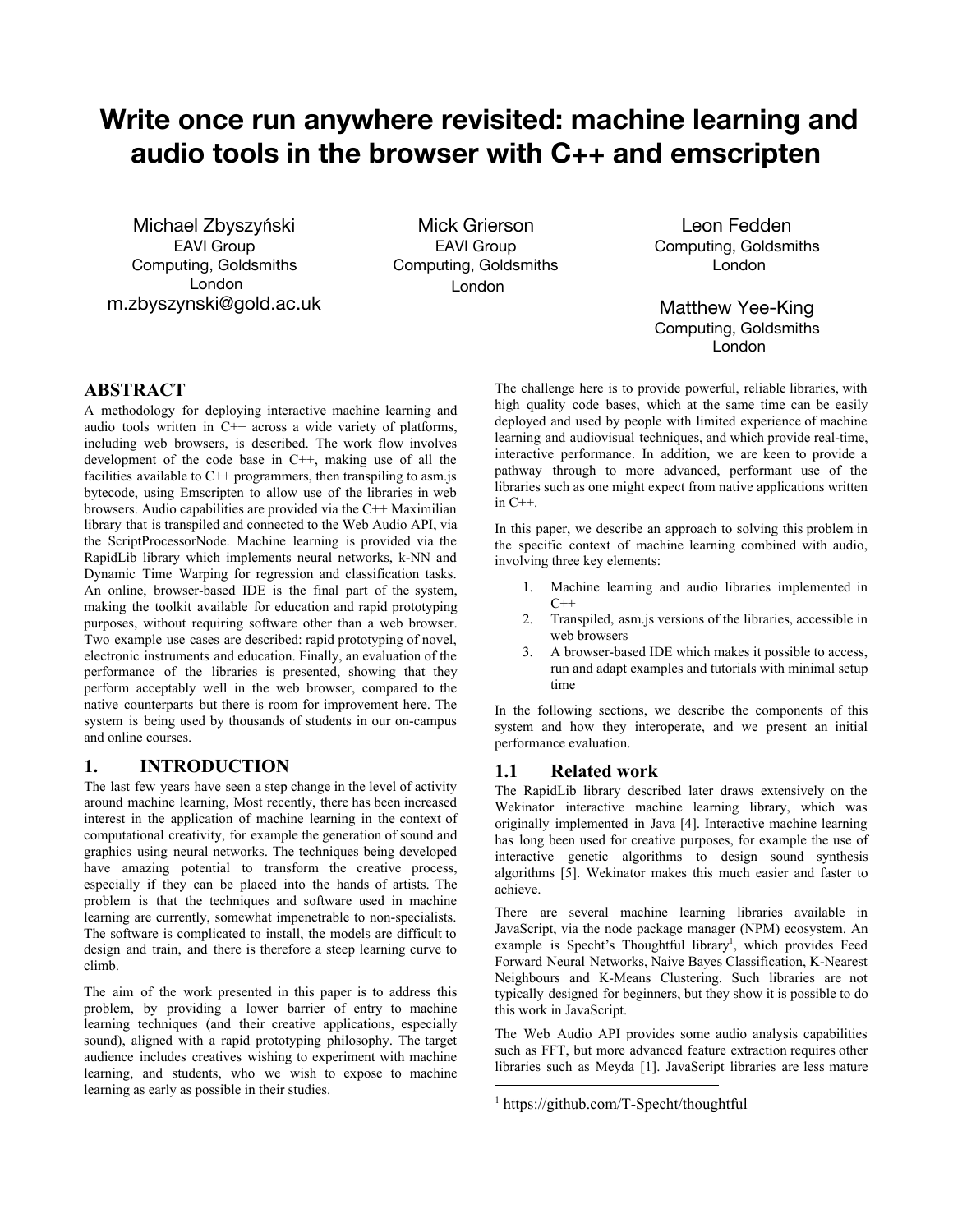# Write once run anywhere revisited: machine learning and audio tools in the browser with C++ and emscripten

Michael Zbyszyński EAVI Group Computing, Goldsmiths London m.zbyszynski@gold.ac.uk

Mick Grierson EAVI Group Computing, Goldsmiths London

Leon Fedden Computing, Goldsmiths London

Matthew Yee-King Computing, Goldsmiths London

# **ABSTRACT**

A methodology for deploying interactive machine learning and audio tools written in C++ across a wide variety of platforms, including web browsers, is described. The work flow involves development of the code base in C++, making use of all the facilities available to  $C^{++}$  programmers, then transpiling to asm.js bytecode, using Emscripten to allow use of the libraries in web browsers. Audio capabilities are provided via the C++ Maximilian library that is transpiled and connected to the Web Audio API, via the ScriptProcessorNode. Machine learning is provided via the RapidLib library which implements neural networks, k-NN and Dynamic Time Warping for regression and classification tasks. An online, browser-based IDE is the final part of the system, making the toolkit available for education and rapid prototyping purposes, without requiring software other than a web browser. Two example use cases are described: rapid prototyping of novel, electronic instruments and education. Finally, an evaluation of the performance of the libraries is presented, showing that they perform acceptably well in the web browser, compared to the native counterparts but there is room for improvement here. The system is being used by thousands of students in our on-campus and online courses.

# **1. INTRODUCTION**

The last few years have seen a step change in the level of activity around machine learning, Most recently, there has been increased interest in the application of machine learning in the context of computational creativity, for example the generation of sound and graphics using neural networks. The techniques being developed have amazing potential to transform the creative process, especially if they can be placed into the hands of artists. The problem is that the techniques and software used in machine learning are currently, somewhat impenetrable to non-specialists. The software is complicated to install, the models are difficult to design and train, and there is therefore a steep learning curve to climb.

The aim of the work presented in this paper is to address this problem, by providing a lower barrier of entry to machine learning techniques (and their creative applications, especially sound), aligned with a rapid prototyping philosophy. The target audience includes creatives wishing to experiment with machine learning, and students, who we wish to expose to machine learning as early as possible in their studies.

The challenge here is to provide powerful, reliable libraries, with high quality code bases, which at the same time can be easily deployed and used by people with limited experience of machine learning and audiovisual techniques, and which provide real-time, interactive performance. In addition, we are keen to provide a pathway through to more advanced, performant use of the libraries such as one might expect from native applications written in  $C++$ .

In this paper, we describe an approach to solving this problem in the specific context of machine learning combined with audio, involving three key elements:

- 1. Machine learning and audio libraries implemented in  $C++$
- 2. Transpiled, asm.js versions of the libraries, accessible in web browsers
- 3. A browser-based IDE which makes it possible to access, run and adapt examples and tutorials with minimal setup time

In the following sections, we describe the components of this system and how they interoperate, and we present an initial performance evaluation.

### **1.1 Related work**

The RapidLib library described later draws extensively on the Wekinator interactive machine learning library, which was originally implemented in Java [4]. Interactive machine learning has long been used for creative purposes, for example the use of interactive genetic algorithms to design sound synthesis algorithms [5]. Wekinator makes this much easier and faster to achieve.

There are several machine learning libraries available in JavaScript, via the node package manager (NPM) ecosystem. An example is Specht's Thoughtful library<sup>1</sup>, which provides Feed Forward Neural Networks, Naive Bayes Classification, K-Nearest Neighbours and K-Means Clustering. Such libraries are not typically designed for beginners, but they show it is possible to do this work in JavaScript.

The Web Audio API provides some audio analysis capabilities such as FFT, but more advanced feature extraction requires other libraries such as Meyda [1]. JavaScript libraries are less mature

<sup>1</sup> https://github.com/T-Specht/thoughtful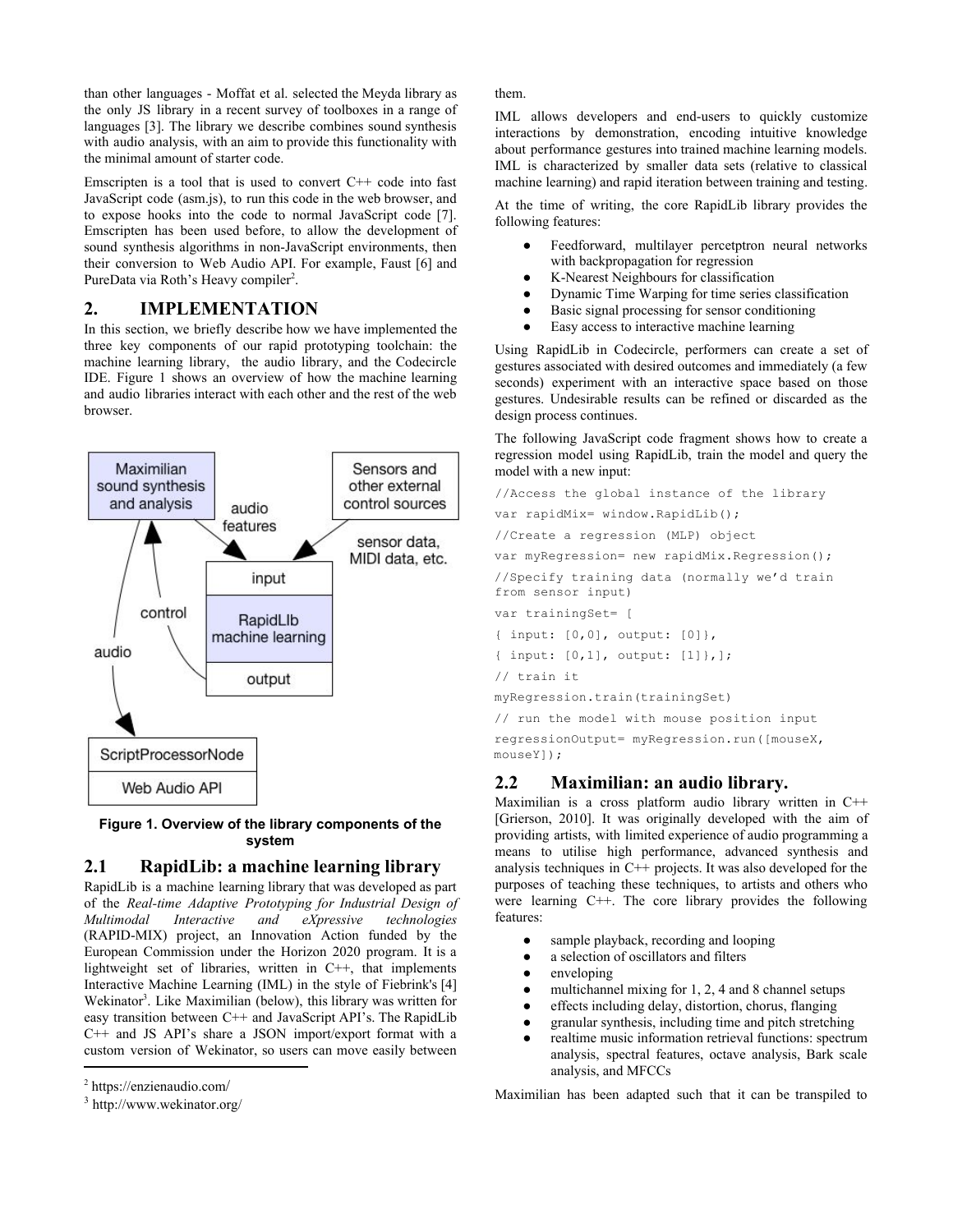than other languages - Moffat et al. selected the Meyda library as the only JS library in a recent survey of toolboxes in a range of languages [3]. The library we describe combines sound synthesis with audio analysis, with an aim to provide this functionality with the minimal amount of starter code.

Emscripten is a tool that is used to convert  $C++$  code into fast JavaScript code (asm.js), to run this code in the web browser, and to expose hooks into the code to normal JavaScript code [7]. Emscripten has been used before, to allow the development of sound synthesis algorithms in non-JavaScript environments, then their conversion to Web Audio API. For example, Faust [6] and PureData via Roth's Heavy compiler<sup>2</sup>.

# **2. IMPLEMENTATION**

In this section, we briefly describe how we have implemented the three key components of our rapid prototyping toolchain: the machine learning library, the audio library, and the Codecircle IDE. Figure 1 shows an overview of how the machine learning and audio libraries interact with each other and the rest of the web browser.



#### **Figure 1. Overview of the library components of the system**

# **2.1 RapidLib: a machine learning library**

RapidLib is a machine learning library that was developed as part of the *Real-time Adaptive Prototyping for Industrial Design of Multimodal Interactive and eXpressive technologies*  (RAPID-MIX) project, an Innovation Action funded by the European Commission under the Horizon 2020 program. It is a lightweight set of libraries, written in C++, that implements Interactive Machine Learning (IML) in the style of Fiebrink's [4] Wekinator<sup>3</sup>. Like Maximilian (below), this library was written for easy transition between C++ and JavaScript API's. The RapidLib C++ and JS API's share a JSON import/export format with a custom version of Wekinator, so users can move easily between

them.

IML allows developers and end-users to quickly customize interactions by demonstration, encoding intuitive knowledge about performance gestures into trained machine learning models. IML is characterized by smaller data sets (relative to classical machine learning) and rapid iteration between training and testing.

At the time of writing, the core RapidLib library provides the following features:

- Feedforward, multilayer percetptron neural networks with backpropagation for regression
- K-Nearest Neighbours for classification
- Dynamic Time Warping for time series classification
- Basic signal processing for sensor conditioning
- Easy access to interactive machine learning

Using RapidLib in Codecircle, performers can create a set of gestures associated with desired outcomes and immediately (a few seconds) experiment with an interactive space based on those gestures. Undesirable results can be refined or discarded as the design process continues.

The following JavaScript code fragment shows how to create a regression model using RapidLib, train the model and query the model with a new input:

```
//Access the global instance of the library
var rapidMix= window.RapidLib();
//Create a regression (MLP) object
var myRegression= new rapidMix.Regression();
//Specify training data (normally we'd train
from sensor input)
var trainingSet= [
{ input: [0,0], output: [0]},
{ input: [0,1], output: [1]},];
// train it
myRegression.train(trainingSet)
// run the model with mouse position input
regressionOutput= myRegression.run([mouseX,
mouseY]);
```
# **2.2 Maximilian: an audio library.**

Maximilian is a cross platform audio library written in C++ [Grierson, 2010]. It was originally developed with the aim of providing artists, with limited experience of audio programming a means to utilise high performance, advanced synthesis and analysis techniques in  $C^{++}$  projects. It was also developed for the purposes of teaching these techniques, to artists and others who were learning C++. The core library provides the following features:

- sample playback, recording and looping
- a selection of oscillators and filters
- enveloping
- multichannel mixing for  $1, 2, 4$  and 8 channel setups
- effects including delay, distortion, chorus, flanging
- granular synthesis, including time and pitch stretching
- realtime music information retrieval functions: spectrum analysis, spectral features, octave analysis, Bark scale analysis, and MFCCs

Maximilian has been adapted such that it can be transpiled to

<sup>&</sup>lt;sup>2</sup> https://enzienaudio.com/

 $3$  http://www.wekinator.org/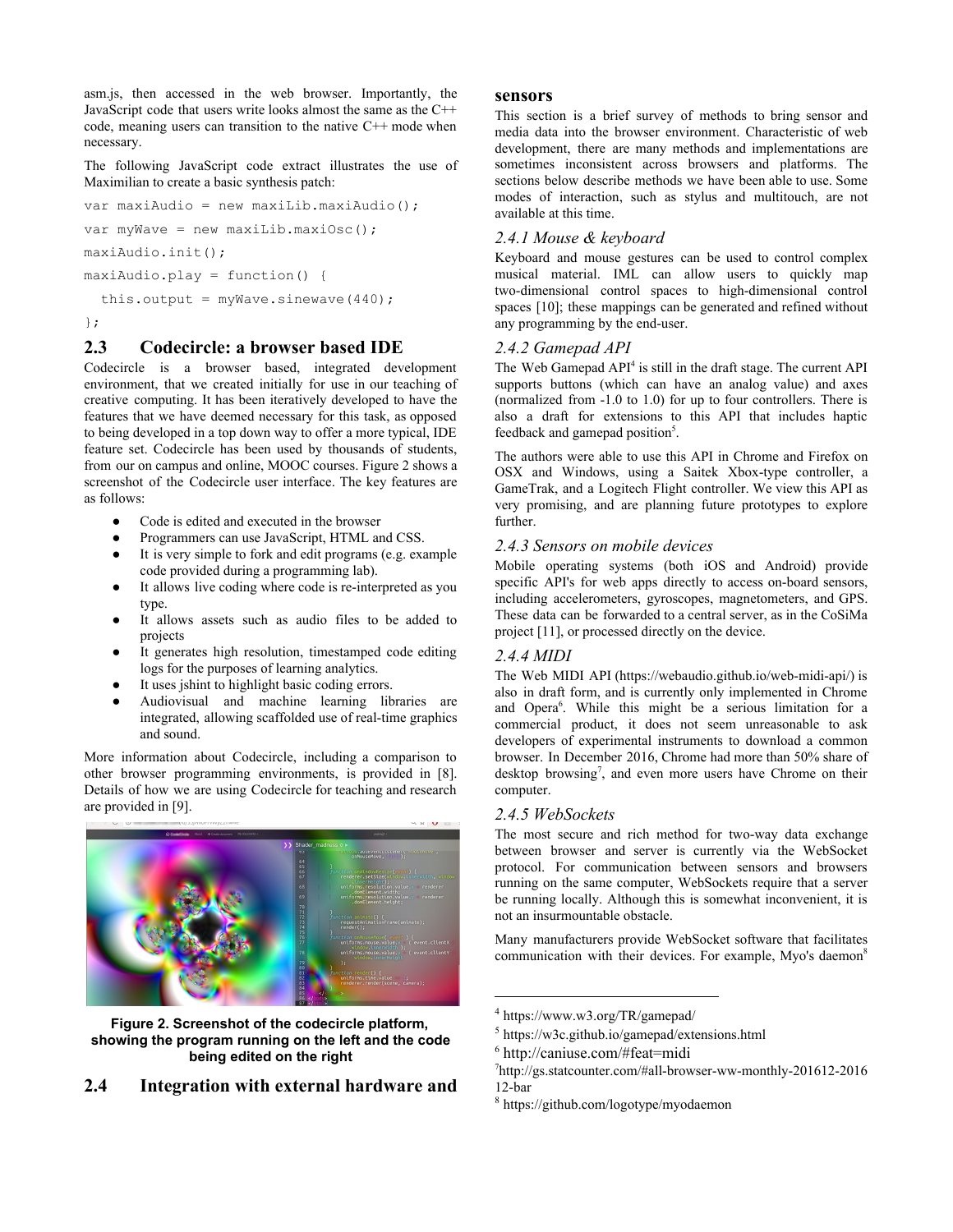asm.js, then accessed in the web browser. Importantly, the JavaScript code that users write looks almost the same as the C++ code, meaning users can transition to the native C++ mode when necessary.

The following JavaScript code extract illustrates the use of Maximilian to create a basic synthesis patch:

```
var maxiAudio = new maxiLib.maxiAudio();
var myWave = new maxiLib.maxiOsc();
maxiAudio.init();
maxiAudio.play = function() {
  this.output = myWave.sinewave(440);
```
#### };

# **2.3 Codecircle: a browser based IDE**

Codecircle is a browser based, integrated development environment, that we created initially for use in our teaching of creative computing. It has been iteratively developed to have the features that we have deemed necessary for this task, as opposed to being developed in a top down way to offer a more typical, IDE feature set. Codecircle has been used by thousands of students, from our on campus and online, MOOC courses. Figure 2 shows a screenshot of the Codecircle user interface. The key features are as follows:

- Code is edited and executed in the browser
- Programmers can use JavaScript, HTML and CSS.
- It is very simple to fork and edit programs (e.g. example code provided during a programming lab).
- It allows live coding where code is re-interpreted as you type.
- It allows assets such as audio files to be added to projects
- It generates high resolution, timestamped code editing logs for the purposes of learning analytics.
- It uses jshint to highlight basic coding errors.
- Audiovisual and machine learning libraries are integrated, allowing scaffolded use of real-time graphics and sound.

More information about Codecircle, including a comparison to other browser programming environments, is provided in [8]. Details of how we are using Codecircle for teaching and research are provided in [9].



**Figure 2. Screenshot of the codecircle platform, showing the program running on the left and the code being edited on the right**

# **2.4 Integration with external hardware and**

#### **sensors**

This section is a brief survey of methods to bring sensor and media data into the browser environment. Characteristic of web development, there are many methods and implementations are sometimes inconsistent across browsers and platforms. The sections below describe methods we have been able to use. Some modes of interaction, such as stylus and multitouch, are not available at this time.

#### *2.4.1 Mouse & keyboard*

Keyboard and mouse gestures can be used to control complex musical material. IML can allow users to quickly map two-dimensional control spaces to high-dimensional control spaces [10]; these mappings can be generated and refined without any programming by the end-user.

#### *2.4.2 Gamepad API*

The Web Gamepad API<sup>4</sup> is still in the draft stage. The current API supports buttons (which can have an analog value) and axes (normalized from -1.0 to 1.0) for up to four controllers. There is also a draft for extensions to this API that includes haptic feedback and gamepad position<sup>5</sup>.

The authors were able to use this API in Chrome and Firefox on OSX and Windows, using a Saitek Xbox-type controller, a GameTrak, and a Logitech Flight controller. We view this API as very promising, and are planning future prototypes to explore further.

#### *2.4.3 Sensors on mobile devices*

Mobile operating systems (both iOS and Android) provide specific API's for web apps directly to access on-board sensors, including accelerometers, gyroscopes, magnetometers, and GPS. These data can be forwarded to a central server, as in the CoSiMa project [11], or processed directly on the device.

#### *2.4.4 MIDI*

The Web MIDI API (https://webaudio.github.io/web-midi-api/) is also in draft form, and is currently only implemented in Chrome and Opera $6$ . While this might be a serious limitation for a commercial product, it does not seem unreasonable to ask developers of experimental instruments to download a common browser. In December 2016, Chrome had more than 50% share of desktop browsing<sup>7</sup>, and even more users have Chrome on their computer.

### *2.4.5 WebSockets*

The most secure and rich method for two-way data exchange between browser and server is currently via the WebSocket protocol. For communication between sensors and browsers running on the same computer, WebSockets require that a server be running locally. Although this is somewhat inconvenient, it is not an insurmountable obstacle.

Many manufacturers provide WebSocket software that facilitates communication with their devices. For example, Myo's daemon<sup>8</sup>

<sup>4</sup> https://www.w3.org/TR/gamepad/

<sup>5</sup> https://w3c.github.io/gamepad/extensions.html

<sup>6</sup> http://caniuse.com/#feat=midi

<sup>7</sup> http://gs.statcounter.com/#all-browser-ww-monthly-201612-2016 12-bar

<sup>8</sup> https://github.com/logotype/myodaemon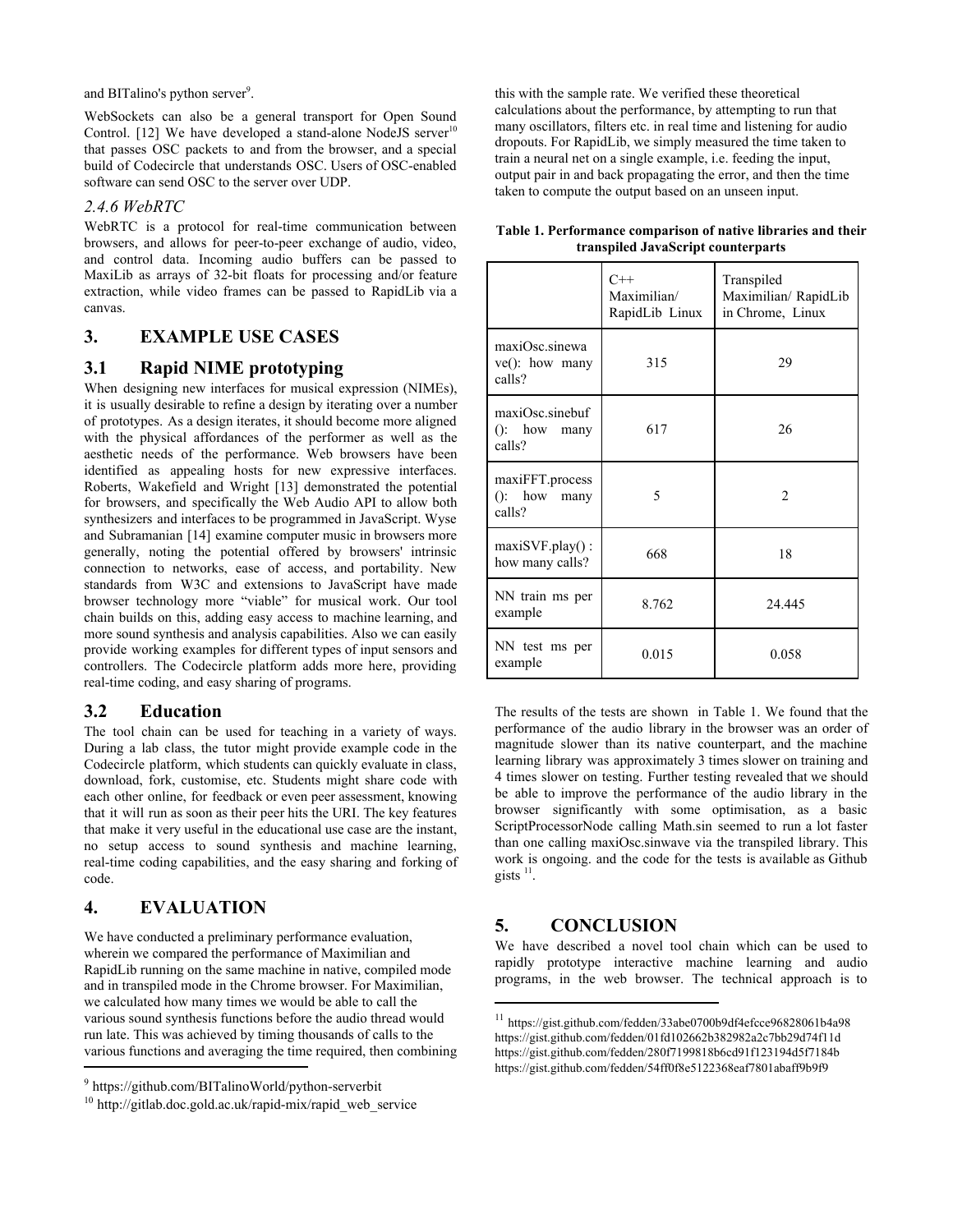and BITalino's python server $\degree$ .

WebSockets can also be a general transport for Open Sound Control. [12] We have developed a stand-alone NodeJS server<sup>10</sup> that passes OSC packets to and from the browser, and a special build of Codecircle that understands OSC. Users of OSC-enabled software can send OSC to the server over UDP.

#### *2.4.6 WebRTC*

WebRTC is a protocol for real-time communication between browsers, and allows for peer-to-peer exchange of audio, video, and control data. Incoming audio buffers can be passed to MaxiLib as arrays of 32-bit floats for processing and/or feature extraction, while video frames can be passed to RapidLib via a canvas.

# **3. EXAMPLE USE CASES**

# **3.1 Rapid NIME prototyping**

When designing new interfaces for musical expression (NIMEs), it is usually desirable to refine a design by iterating over a number of prototypes. As a design iterates, it should become more aligned with the physical affordances of the performer as well as the aesthetic needs of the performance. Web browsers have been identified as appealing hosts for new expressive interfaces. Roberts, Wakefield and Wright [13] demonstrated the potential for browsers, and specifically the Web Audio API to allow both synthesizers and interfaces to be programmed in JavaScript. Wyse and Subramanian [14] examine computer music in browsers more generally, noting the potential offered by browsers' intrinsic connection to networks, ease of access, and portability. New standards from W3C and extensions to JavaScript have made browser technology more "viable" for musical work. Our tool chain builds on this, adding easy access to machine learning, and more sound synthesis and analysis capabilities. Also we can easily provide working examples for different types of input sensors and controllers. The Codecircle platform adds more here, providing real-time coding, and easy sharing of programs.

### **3.2 Education**

The tool chain can be used for teaching in a variety of ways. During a lab class, the tutor might provide example code in the Codecircle platform, which students can quickly evaluate in class, download, fork, customise, etc. Students might share code with each other online, for feedback or even peer assessment, knowing that it will run as soon as their peer hits the URI. The key features that make it very useful in the educational use case are the instant, no setup access to sound synthesis and machine learning, real-time coding capabilities, and the easy sharing and forking of code.

# **4. EVALUATION**

We have conducted a preliminary performance evaluation, wherein we compared the performance of Maximilian and RapidLib running on the same machine in native, compiled mode and in transpiled mode in the Chrome browser. For Maximilian, we calculated how many times we would be able to call the various sound synthesis functions before the audio thread would run late. This was achieved by timing thousands of calls to the various functions and averaging the time required, then combining

this with the sample rate. We verified these theoretical calculations about the performance, by attempting to run that many oscillators, filters etc. in real time and listening for audio dropouts. For RapidLib, we simply measured the time taken to train a neural net on a single example, i.e. feeding the input, output pair in and back propagating the error, and then the time taken to compute the output based on an unseen input.

|                                    | Table 1. Performance comparison of native libraries and their |  |  |  |  |  |
|------------------------------------|---------------------------------------------------------------|--|--|--|--|--|
| transpiled JavaScript counterparts |                                                               |  |  |  |  |  |

|                                               | $C++$<br>Maximilian/<br>RapidLib Linux | Transpiled<br>Maximilian/RapidLib<br>in Chrome, Linux |
|-----------------------------------------------|----------------------------------------|-------------------------------------------------------|
| maxiOsc.sinewa<br>$ve()$ : how many<br>calls? | 315                                    | 29                                                    |
| maxiOsc.sinebuf<br>$()$ : how many<br>calls?  | 617                                    | 26                                                    |
| maxiFFT.process<br>$()$ : how many<br>calls?  | 5                                      | $\mathfrak{D}$                                        |
| $maxISVF.play()$ :<br>how many calls?         | 668                                    | 18                                                    |
| NN train ms per<br>example                    | 8.762                                  | 24.445                                                |
| NN test ms per<br>example                     | 0.015                                  | 0.058                                                 |

The results of the tests are shown in Table 1. We found that the performance of the audio library in the browser was an order of magnitude slower than its native counterpart, and the machine learning library was approximately 3 times slower on training and 4 times slower on testing. Further testing revealed that we should be able to improve the performance of the audio library in the browser significantly with some optimisation, as a basic ScriptProcessorNode calling Math.sin seemed to run a lot faster than one calling maxiOsc.sinwave via the transpiled library. This work is ongoing. and the code for the tests is available as Github gists  $^{11}$ .

# **5. CONCLUSION**

We have described a novel tool chain which can be used to rapidly prototype interactive machine learning and audio programs, in the web browser. The technical approach is to

<sup>9</sup> https://github.com/BITalinoWorld/python-serverbit

 $10$  http://gitlab.doc.gold.ac.uk/rapid-mix/rapid\_web\_service

<sup>11</sup> https://gist.github.com/fedden/33abe0700b9df4efcce96828061b4a98 https://gist.github.com/fedden/01fd102662b382982a2c7bb29d74f11d https://gist.github.com/fedden/280f7199818b6cd91f123194d5f7184b https://gist.github.com/fedden/54ff0f8e5122368eaf7801abaff9b9f9